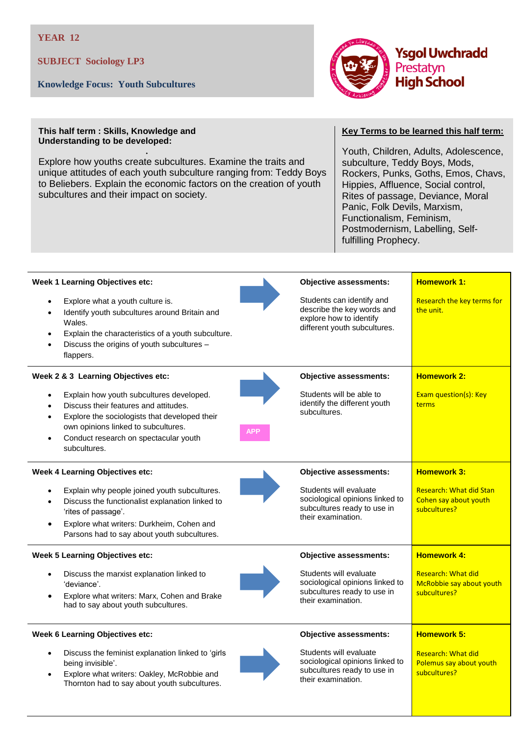**SUBJECT Sociology LP3**

**Knowledge Focus: Youth Subcultures**



## **This half term : Skills, Knowledge and Understanding to be developed:**

Explore how youths create subcultures. Examine the traits and unique attitudes of each youth subculture ranging from: Teddy Boys to Beliebers. Explain the economic factors on the creation of youth subcultures and their impact on society.

## **Key Terms to be learned this half term:**

Youth, Children, Adults, Adolescence, subculture, Teddy Boys, Mods, Rockers, Punks, Goths, Emos, Chavs, Hippies, Affluence, Social control, Rites of passage, Deviance, Moral Panic, Folk Devils, Marxism, Functionalism, Feminism, Postmodernism, Labelling, Selffulfilling Prophecy.

| <b>Week 1 Learning Objectives etc:</b>                                                                                                                                                                                                          |            | <b>Objective assessments:</b>                                                                                      | <b>Homework 1:</b>                                                      |
|-------------------------------------------------------------------------------------------------------------------------------------------------------------------------------------------------------------------------------------------------|------------|--------------------------------------------------------------------------------------------------------------------|-------------------------------------------------------------------------|
| Explore what a youth culture is.<br>Identify youth subcultures around Britain and<br>$\bullet$<br>Wales.<br>Explain the characteristics of a youth subculture.<br>$\bullet$<br>Discuss the origins of youth subcultures -<br>flappers.          |            | Students can identify and<br>describe the key words and<br>explore how to identify<br>different youth subcultures. | Research the key terms for<br>the unit.                                 |
| Week 2 & 3 Learning Objectives etc:                                                                                                                                                                                                             |            | <b>Objective assessments:</b>                                                                                      | <b>Homework 2:</b>                                                      |
| Explain how youth subcultures developed.<br>Discuss their features and attitudes.<br>Explore the sociologists that developed their<br>$\bullet$<br>own opinions linked to subcultures.<br>Conduct research on spectacular youth<br>subcultures. | <b>APP</b> | Students will be able to<br>identify the different youth<br>subcultures.                                           | Exam question(s): Key<br>terms                                          |
| <b>Week 4 Learning Objectives etc:</b>                                                                                                                                                                                                          |            | <b>Objective assessments:</b>                                                                                      | <b>Homework 3:</b>                                                      |
| Explain why people joined youth subcultures.<br>Discuss the functionalist explanation linked to<br>'rites of passage'.<br>Explore what writers: Durkheim, Cohen and<br>$\bullet$<br>Parsons had to say about youth subcultures.                 |            | Students will evaluate<br>sociological opinions linked to<br>subcultures ready to use in<br>their examination.     | <b>Research: What did Stan</b><br>Cohen say about youth<br>subcultures? |
| <b>Week 5 Learning Objectives etc:</b>                                                                                                                                                                                                          |            | <b>Objective assessments:</b>                                                                                      | <b>Homework 4:</b>                                                      |
| Discuss the marxist explanation linked to<br>'deviance'.<br>Explore what writers: Marx, Cohen and Brake<br>$\bullet$<br>had to say about youth subcultures.                                                                                     |            | Students will evaluate<br>sociological opinions linked to<br>subcultures ready to use in<br>their examination.     | <b>Research: What did</b><br>McRobbie say about youth<br>subcultures?   |
| <b>Week 6 Learning Objectives etc:</b>                                                                                                                                                                                                          |            | <b>Objective assessments:</b>                                                                                      | <b>Homework 5:</b>                                                      |
| Discuss the feminist explanation linked to 'girls<br>$\bullet$<br>being invisible'.<br>Explore what writers: Oakley, McRobbie and<br>$\bullet$<br>Thornton had to say about youth subcultures.                                                  |            | Students will evaluate<br>sociological opinions linked to<br>subcultures ready to use in<br>their examination.     | <b>Research: What did</b><br>Polemus say about youth<br>subcultures?    |